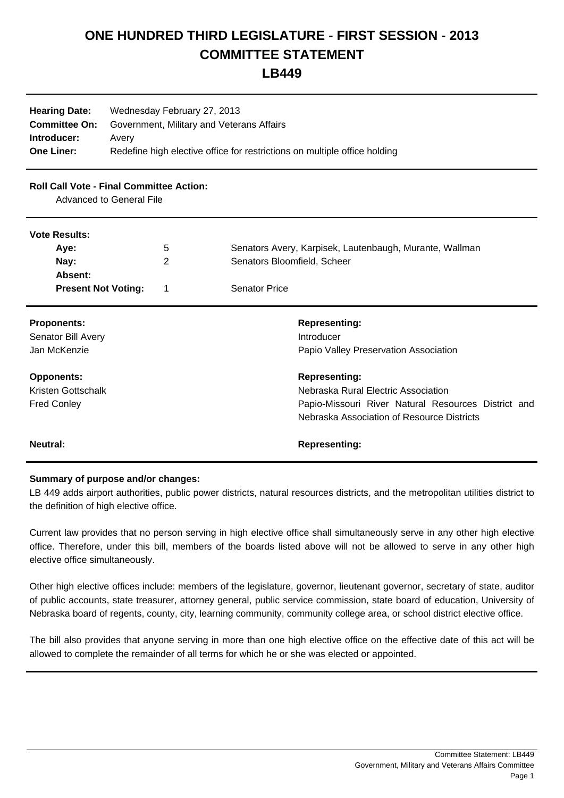## **ONE HUNDRED THIRD LEGISLATURE - FIRST SESSION - 2013 COMMITTEE STATEMENT**

## **LB449**

| <b>Hearing Date:</b><br><b>Committee On:</b><br>Introducer:<br><b>One Liner:</b> | Wednesday February 27, 2013<br>Government, Military and Veterans Affairs<br>Avery<br>Redefine high elective office for restrictions on multiple office holding |   |                             |                                                                                                   |
|----------------------------------------------------------------------------------|----------------------------------------------------------------------------------------------------------------------------------------------------------------|---|-----------------------------|---------------------------------------------------------------------------------------------------|
| <b>Roll Call Vote - Final Committee Action:</b><br>Advanced to General File      |                                                                                                                                                                |   |                             |                                                                                                   |
| <b>Vote Results:</b>                                                             |                                                                                                                                                                |   |                             |                                                                                                   |
| Aye:                                                                             |                                                                                                                                                                | 5 |                             | Senators Avery, Karpisek, Lautenbaugh, Murante, Wallman                                           |
| Nay:                                                                             |                                                                                                                                                                | 2 | Senators Bloomfield, Scheer |                                                                                                   |
| Absent:                                                                          |                                                                                                                                                                |   |                             |                                                                                                   |
| <b>Present Not Voting:</b>                                                       |                                                                                                                                                                | 1 | <b>Senator Price</b>        |                                                                                                   |
| <b>Proponents:</b>                                                               |                                                                                                                                                                |   |                             | <b>Representing:</b>                                                                              |
| Senator Bill Avery                                                               |                                                                                                                                                                |   |                             | Introducer                                                                                        |
| Jan McKenzie                                                                     |                                                                                                                                                                |   |                             | Papio Valley Preservation Association                                                             |
| <b>Opponents:</b>                                                                |                                                                                                                                                                |   |                             | <b>Representing:</b>                                                                              |
| Kristen Gottschalk                                                               |                                                                                                                                                                |   |                             | Nebraska Rural Electric Association                                                               |
| <b>Fred Conley</b>                                                               |                                                                                                                                                                |   |                             | Papio-Missouri River Natural Resources District and<br>Nebraska Association of Resource Districts |
| <b>Neutral:</b>                                                                  |                                                                                                                                                                |   |                             | <b>Representing:</b>                                                                              |
|                                                                                  |                                                                                                                                                                |   |                             |                                                                                                   |

## **Summary of purpose and/or changes:**

LB 449 adds airport authorities, public power districts, natural resources districts, and the metropolitan utilities district to the definition of high elective office.

Current law provides that no person serving in high elective office shall simultaneously serve in any other high elective office. Therefore, under this bill, members of the boards listed above will not be allowed to serve in any other high elective office simultaneously.

Other high elective offices include: members of the legislature, governor, lieutenant governor, secretary of state, auditor of public accounts, state treasurer, attorney general, public service commission, state board of education, University of Nebraska board of regents, county, city, learning community, community college area, or school district elective office.

The bill also provides that anyone serving in more than one high elective office on the effective date of this act will be allowed to complete the remainder of all terms for which he or she was elected or appointed.